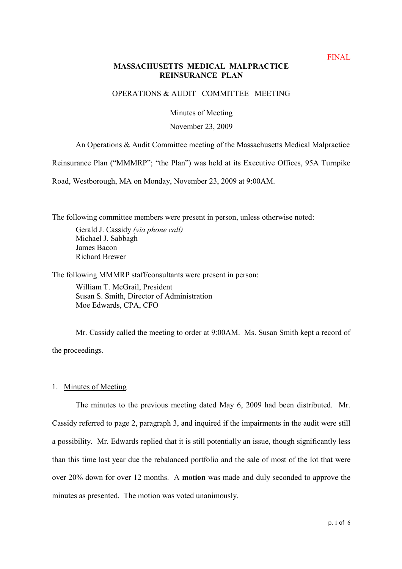# **MASSACHUSETTS MEDICAL MALPRACTICE REINSURANCE PLAN**

# OPERATIONS & AUDIT COMMITTEE MEETING

Minutes of Meeting

## November 23, 2009

An Operations & Audit Committee meeting of the Massachusetts Medical Malpractice

Reinsurance Plan ("MMMRP"; "the Plan") was held at its Executive Offices, 95A Turnpike

Road, Westborough, MA on Monday, November 23, 2009 at 9:00AM.

The following committee members were present in person, unless otherwise noted:

Gerald J. Cassidy (via phone call) Michael J. Sabbagh James Bacon Richard Brewer

The following MMMRP staff/consultants were present in person:

William T. McGrail, President Susan S. Smith, Director of Administration Moe Edwards, CPA, CFO

Mr. Cassidy called the meeting to order at 9:00AM. Ms. Susan Smith kept a record of the proceedings.

## 1. Minutes of Meeting

The minutes to the previous meeting dated May 6, 2009 had been distributed. Mr. Cassidy referred to page 2, paragraph 3, and inquired if the impairments in the audit were still a possibility. Mr. Edwards replied that it is still potentially an issue, though significantly less than this time last year due the rebalanced portfolio and the sale of most of the lot that were over 20% down for over 12 months. A **motion** was made and duly seconded to approve the minutes as presented. The motion was voted unanimously.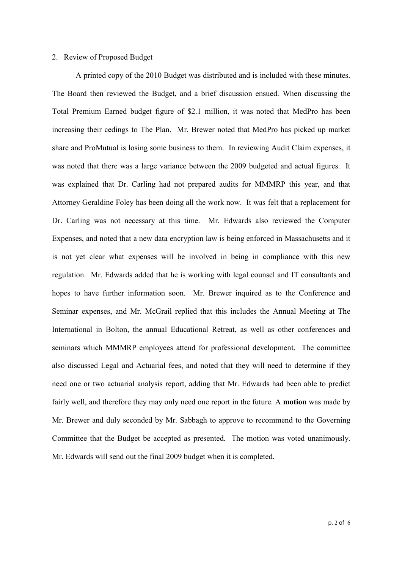## 2. Review of Proposed Budget

A printed copy of the 2010 Budget was distributed and is included with these minutes. The Board then reviewed the Budget, and a brief discussion ensued. When discussing the Total Premium Earned budget figure of \$2.1 million, it was noted that MedPro has been increasing their cedings to The Plan. Mr. Brewer noted that MedPro has picked up market share and ProMutual is losing some business to them. In reviewing Audit Claim expenses, it was noted that there was a large variance between the 2009 budgeted and actual figures. It was explained that Dr. Carling had not prepared audits for MMMRP this year, and that Attorney Geraldine Foley has been doing all the work now. It was felt that a replacement for Dr. Carling was not necessary at this time. Mr. Edwards also reviewed the Computer Expenses, and noted that a new data encryption law is being enforced in Massachusetts and it is not yet clear what expenses will be involved in being in compliance with this new regulation. Mr. Edwards added that he is working with legal counsel and IT consultants and hopes to have further information soon. Mr. Brewer inquired as to the Conference and Seminar expenses, and Mr. McGrail replied that this includes the Annual Meeting at The International in Bolton, the annual Educational Retreat, as well as other conferences and seminars which MMMRP employees attend for professional development. The committee also discussed Legal and Actuarial fees, and noted that they will need to determine if they need one or two actuarial analysis report, adding that Mr. Edwards had been able to predict fairly well, and therefore they may only need one report in the future. A **motion** was made by Mr. Brewer and duly seconded by Mr. Sabbagh to approve to recommend to the Governing Committee that the Budget be accepted as presented. The motion was voted unanimously. Mr. Edwards will send out the final 2009 budget when it is completed.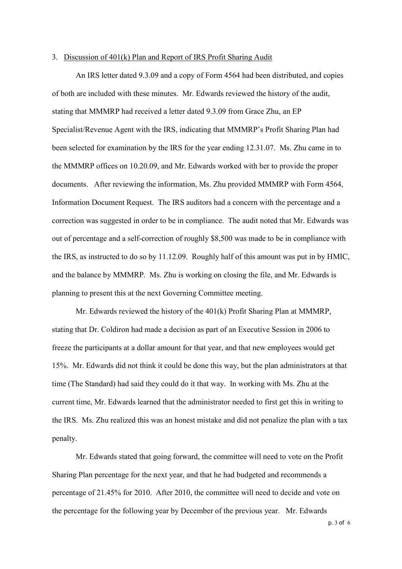#### 3. Discussion of 401(k) Plan and Report of IRS Profit Sharing Audit

An IRS letter dated 9.3.09 and a copy of Form 4564 had been distributed, and copies of both are included with these minutes. Mr. Edwards reviewed the history of the audit, stating that MMMRP had received a letter dated 9.3.09 from Grace Zhu, an EP Specialist/Revenue Agent with the IRS, indicating that MMMRP's Profit Sharing Plan had been selected for examination by the IRS for the year ending 12.31.07. Ms. Zhu came in to the MMMRP offices on 10.20.09, and Mr. Edwards worked with her to provide the proper documents. After reviewing the information, Ms. Zhu provided MMMRP with Form 4564, Information Document Request. The IRS auditors had a concern with the percentage and a correction was suggested in order to be in compliance. The audit noted that Mr. Edwards was out of percentage and a self-correction of roughly \$8,500 was made to be in compliance with the IRS, as instructed to do so by 11.12.09. Roughly half of this amount was put in by HMIC, and the balance by MMMRP. Ms. Zhu is working on closing the file, and Mr. Edwards is planning to present this at the next Governing Committee meeting.

Mr. Edwards reviewed the history of the 401(k) Profit Sharing Plan at MMMRP, stating that Dr. Coldiron had made a decision as part of an Executive Session in 2006 to freeze the participants at a dollar amount for that year, and that new employees would get 15%. Mr. Edwards did not think it could be done this way, but the plan administrators at that time (The Standard) had said they could do it that way. In working with Ms. Zhu at the current time, Mr. Edwards learned that the administrator needed to first get this in writing to the IRS. Ms. Zhu realized this was an honest mistake and did not penalize the plan with a tax penalty.

Mr. Edwards stated that going forward, the committee will need to vote on the Profit Sharing Plan percentage for the next year, and that he had budgeted and recommends a percentage of 21.45% for 2010. After 2010, the committee will need to decide and vote on the percentage for the following year by December of the previous year. Mr. Edwards

p. 3 of 6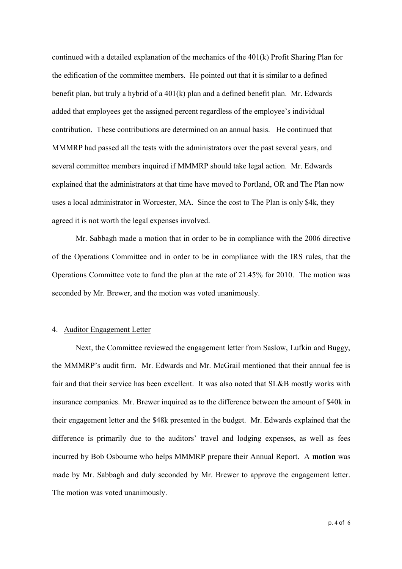continued with a detailed explanation of the mechanics of the 401(k) Profit Sharing Plan for the edification of the committee members. He pointed out that it is similar to a defined benefit plan, but truly a hybrid of a 401(k) plan and a defined benefit plan. Mr. Edwards added that employees get the assigned percent regardless of the employee's individual contribution. These contributions are determined on an annual basis. He continued that MMMRP had passed all the tests with the administrators over the past several years, and several committee members inquired if MMMRP should take legal action. Mr. Edwards explained that the administrators at that time have moved to Portland, OR and The Plan now uses a local administrator in Worcester, MA. Since the cost to The Plan is only \$4k, they agreed it is not worth the legal expenses involved.

Mr. Sabbagh made a motion that in order to be in compliance with the 2006 directive of the Operations Committee and in order to be in compliance with the IRS rules, that the Operations Committee vote to fund the plan at the rate of 21.45% for 2010. The motion was seconded by Mr. Brewer, and the motion was voted unanimously.

## 4. Auditor Engagement Letter

Next, the Committee reviewed the engagement letter from Saslow, Lufkin and Buggy, the MMMRP's audit firm. Mr. Edwards and Mr. McGrail mentioned that their annual fee is fair and that their service has been excellent. It was also noted that SL&B mostly works with insurance companies. Mr. Brewer inquired as to the difference between the amount of \$40k in their engagement letter and the \$48k presented in the budget. Mr. Edwards explained that the difference is primarily due to the auditors' travel and lodging expenses, as well as fees incurred by Bob Osbourne who helps MMMRP prepare their Annual Report. A **motion** was made by Mr. Sabbagh and duly seconded by Mr. Brewer to approve the engagement letter. The motion was voted unanimously.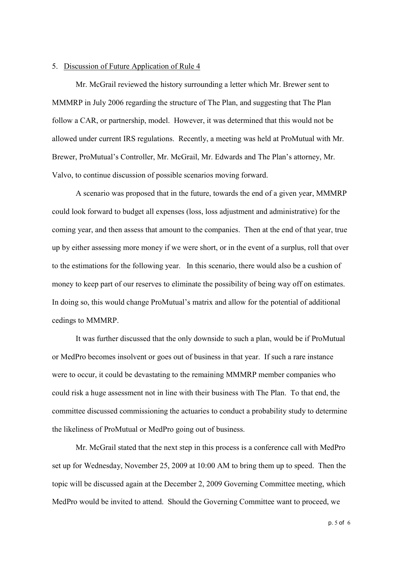#### 5. Discussion of Future Application of Rule 4

Mr. McGrail reviewed the history surrounding a letter which Mr. Brewer sent to MMMRP in July 2006 regarding the structure of The Plan, and suggesting that The Plan follow a CAR, or partnership, model. However, it was determined that this would not be allowed under current IRS regulations. Recently, a meeting was held at ProMutual with Mr. Brewer, ProMutual's Controller, Mr. McGrail, Mr. Edwards and The Plan's attorney, Mr. Valvo, to continue discussion of possible scenarios moving forward.

A scenario was proposed that in the future, towards the end of a given year, MMMRP could look forward to budget all expenses (loss, loss adjustment and administrative) for the coming year, and then assess that amount to the companies. Then at the end of that year, true up by either assessing more money if we were short, or in the event of a surplus, roll that over to the estimations for the following year. In this scenario, there would also be a cushion of money to keep part of our reserves to eliminate the possibility of being way off on estimates. In doing so, this would change ProMutual's matrix and allow for the potential of additional cedings to MMMRP.

It was further discussed that the only downside to such a plan, would be if ProMutual or MedPro becomes insolvent or goes out of business in that year. If such a rare instance were to occur, it could be devastating to the remaining MMMRP member companies who could risk a huge assessment not in line with their business with The Plan. To that end, the committee discussed commissioning the actuaries to conduct a probability study to determine the likeliness of ProMutual or MedPro going out of business.

Mr. McGrail stated that the next step in this process is a conference call with MedPro set up for Wednesday, November 25, 2009 at 10:00 AM to bring them up to speed. Then the topic will be discussed again at the December 2, 2009 Governing Committee meeting, which MedPro would be invited to attend. Should the Governing Committee want to proceed, we